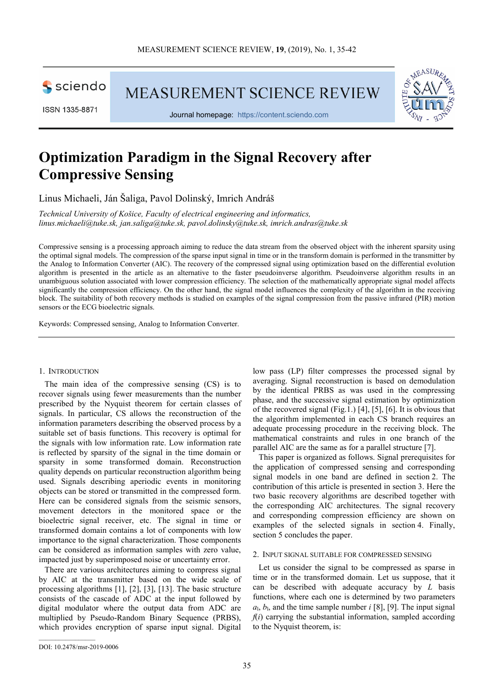

**MEASUREMENT SCIENCE REVIEW** 



Journal homepage: https://content.sciendo.com



# **Optimization Paradigm in the Signal Recovery after Compressive Sensing**

Linus Michaeli, Ján Šaliga, Pavol Dolinský, Imrich Andráš

*Technical University of Košice, Faculty of electrical engineering and informatics, linus.michaeli@tuke.sk, jan.saliga@tuke.sk, pavol.dolinsky@tuke.sk, imrich.andras@tuke.sk* 

Compressive sensing is a processing approach aiming to reduce the data stream from the observed object with the inherent sparsity using the optimal signal models. The compression of the sparse input signal in time or in the transform domain is performed in the transmitter by the Analog to Information Converter (AIC). The recovery of the compressed signal using optimization based on the differential evolution algorithm is presented in the article as an alternative to the faster pseudoinverse algorithm. Pseudoinverse algorithm results in an unambiguous solution associated with lower compression efficiency. The selection of the mathematically appropriate signal model affects significantly the compression efficiency. On the other hand, the signal model influences the complexity of the algorithm in the receiving block. The suitability of both recovery methods is studied on examples of the signal compression from the passive infrared (PIR) motion sensors or the ECG bioelectric signals.

Keywords: Compressed sensing, Analog to Information Converter.

#### 1. INTRODUCTION

The main idea of the compressive sensing (CS) is to recover signals using fewer measurements than the number prescribed by the Nyquist theorem for certain classes of signals. In particular, CS allows the reconstruction of the information parameters describing the observed process by a suitable set of basis functions. This recovery is optimal for the signals with low information rate. Low information rate is reflected by sparsity of the signal in the time domain or sparsity in some transformed domain. Reconstruction quality depends on particular reconstruction algorithm being used. Signals describing aperiodic events in monitoring objects can be stored or transmitted in the compressed form. Here can be considered signals from the seismic sensors, movement detectors in the monitored space or the bioelectric signal receiver, etc. The signal in time or transformed domain contains a lot of components with low importance to the signal characterization. Those components can be considered as information samples with zero value, impacted just by superimposed noise or uncertainty error.

There are various architectures aiming to compress signal by AIC at the transmitter based on the wide scale of processing algorithms [1], [2], [3], [13]. The basic structure consists of the cascade of ADC at the input followed by digital modulator where the output data from ADC are multiplied by Pseudo-Random Binary Sequence (PRBS), which provides encryption of sparse input signal. Digital

low pass (LP) filter compresses the processed signal by averaging. Signal reconstruction is based on demodulation by the identical PRBS as was used in the compressing phase, and the successive signal estimation by optimization of the recovered signal (Fig.1.) [4], [5], [6]. It is obvious that the algorithm implemented in each CS branch requires an adequate processing procedure in the receiving block. The mathematical constraints and rules in one branch of the parallel AIC are the same as for a parallel structure [7].

This paper is organized as follows. Signal prerequisites for the application of compressed sensing and corresponding signal models in one band are defined in section 2. The contribution of this article is presented in section 3. Here the two basic recovery algorithms are described together with the corresponding AIC architectures. The signal recovery and corresponding compression efficiency are shown on examples of the selected signals in section 4. Finally, section 5 concludes the paper.

# 2. INPUT SIGNAL SUITABLE FOR COMPRESSED SENSING

Let us consider the signal to be compressed as sparse in time or in the transformed domain. Let us suppose, that it can be described with adequate accuracy by *L* basis functions, where each one is determined by two parameters  $a<sub>1</sub>, b<sub>1</sub>$ , and the time sample number  $i$  [8], [9]. The input signal  $f(i)$  carrying the substantial information, sampled according to the Nyquist theorem, is: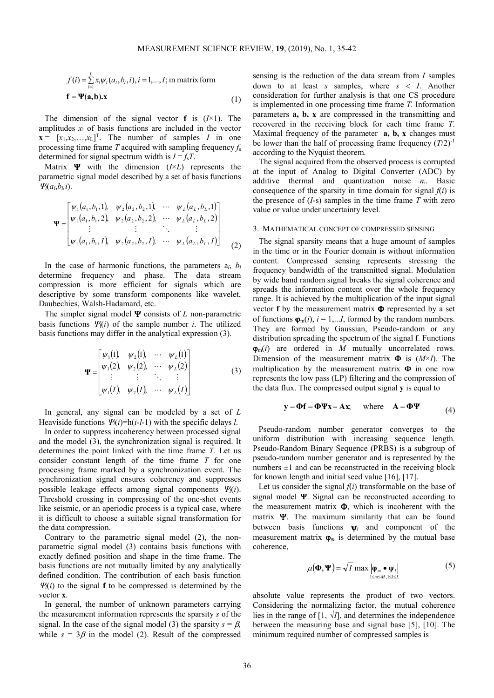$$
f(i) = \sum_{l=1}^{L} x_l \psi_l(a_l, b_l, i), i = 1,...,I; \text{ in matrix form}
$$
  

$$
\mathbf{f} = \mathbf{\Psi}(\mathbf{a}, \mathbf{b}).\mathbf{x}
$$
 (1)

The dimension of the signal vector **f** is  $(I \times 1)$ . The amplitudes  $x_1$  of basis functions are included in the vector  $\mathbf{x} = [x_1, x_2, \dots, x_L]^T$ . The number of samples *I* in one processing time frame *T* acquired with sampling frequency *f*<sup>s</sup> determined for signal spectrum width is  $I = f_sT$ .

Matrix Ψ with the dimension (*I*×*L*) represents the parametric signal model described by a set of basis functions  $Ψ<sub>l</sub>(a<sub>l</sub>,b<sub>l</sub>,i).$ 

$$
\Psi = \begin{bmatrix} \psi_1(a_1, b_1, 1), & \psi_2(a_2, b_2, 1), & \cdots & \psi_L(a_L, b_L, 1) \\ \psi_1(a_1, b_1, 2), & \psi_2(a_2, b_2, 2), & \cdots & \psi_L(a_L, b_L, 2) \\ \vdots & \vdots & \ddots & \vdots \\ \psi_1(a_1, b_1, 1), & \psi_2(a_2, b_2, 1), & \cdots & \psi_L(a_L, b_L, 1) \end{bmatrix}
$$
 (2)

In the case of harmonic functions, the parameters  $a_l$ ,  $b_l$ determine frequency and phase. The data stream compression is more efficient for signals which are descriptive by some transform components like wavelet, Daubechies, Walsh-Hadamard, etc.

The simpler signal model Ψ consists of *L* non-parametric basis functions  $\Psi(i)$  of the sample number *i*. The utilized basis functions may differ in the analytical expression (3).

$$
\Psi = \begin{bmatrix} \psi_1(1), & \psi_2(1), & \cdots & \psi_L(1) \\ \psi_1(2), & \psi_2(2), & \cdots & \psi_L(2) \\ \vdots & \vdots & \ddots & \vdots \\ \psi_1(I), & \psi_2(I), & \cdots & \psi_L(I) \end{bmatrix}
$$
 (3)

In general, any signal can be modeled by a set of *L* Heaviside functions  $\Psi_l(i) = h(i-l-1)$  with the specific delays *l*.

In order to suppress incoherency between processed signal and the model (3), the synchronization signal is required. It determines the point linked with the time frame *T*. Let us consider constant length of the time frame *T* for one processing frame marked by a synchronization event. The synchronization signal ensures coherency and suppresses possible leakage effects among signal components <sup>Ψ</sup>*l*(*i*). Threshold crossing in compressing of the one-shot events like seismic, or an aperiodic process is a typical case, where it is difficult to choose a suitable signal transformation for the data compression.

Contrary to the parametric signal model (2), the nonparametric signal model (3) contains basis functions with exactly defined position and shape in the time frame. The basis functions are not mutually limited by any analytically defined condition. The contribution of each basis function  $\Psi_l(i)$  to the signal **f** to be compressed is determined by the vector **x**.

In general, the number of unknown parameters carrying the measurement information represents the sparsity *s* of the signal. In the case of the signal model (3) the sparsity  $s = \beta$ , while  $s = 3\beta$  in the model (2). Result of the compressed sensing is the reduction of the data stream from *I* samples down to at least *s* samples, where *s* < *I*. Another consideration for further analysis is that one CS procedure is implemented in one processing time frame *T.* Information parameters **a, b, x** are compressed in the transmitting and recovered in the receiving block for each time frame *T*. Maximal frequency of the parameter **a, b, x** changes must be lower than the half of processing frame frequency  $(T/2)^{-1}$ according to the Nyquist theorem.

The signal acquired from the observed process is corrupted at the input of Analog to Digital Converter (ADC) by additive thermal and quantization noise *n*i. Basic consequence of the sparsity in time domain for signal  $f(i)$  is the presence of  $(I-s)$  samples in the time frame  $T$  with zero value or value under uncertainty level.

#### 3. MATHEMATICAL CONCEPT OF COMPRESSED SENSING

The signal sparsity means that a huge amount of samples in the time or in the Fourier domain is without information content. Compressed sensing represents stressing the frequency bandwidth of the transmitted signal. Modulation by wide band random signal breaks the signal coherence and spreads the information content over the whole frequency range. It is achieved by the multiplication of the input signal vector **f** by the measurement matrix  $\Phi$  represented by a set of functions  $\mathbf{\varphi}_{m}(i)$ ,  $i = 1,...I$ , formed by the random numbers. They are formed by Gaussian, Pseudo-random or any distribution spreading the spectrum of the signal **f**. Functions ϕm(*i*) are ordered in *M* mutually uncorrelated rows. Dimension of the measurement matrix Φ is (*M*×*I*). The multiplication by the measurement matrix  $\Phi$  in one row represents the low pass (LP) filtering and the compression of the data flux. The compressed output signal **y** is equal to

$$
y = \Phi f = \Phi \Psi x = Ax, \quad \text{where} \quad A = \Phi \Psi \tag{4}
$$

Pseudo-random number generator converges to the uniform distribution with increasing sequence length. Pseudo-Random Binary Sequence (PRBS) is a subgroup of pseudo-random number generator and is represented by the numbers  $\pm 1$  and can be reconstructed in the receiving block for known length and initial seed value [16], [17].

Let us consider the signal  $f(i)$  transformable on the base of signal model  $\Psi$ . Signal can be reconstructed according to the measurement matrix  $\Phi$ , which is incoherent with the matrix Ψ. The maximum similarity that can be found between basis functions ψ*l* and component of the measurement matrix  $\boldsymbol{\varphi}_m$  is determined by the mutual base coherence,

$$
\mu(\mathbf{\Phi}, \mathbf{\Psi}) = \sqrt{I} \max_{1 \le m \le M, 1 \le l \le L} |\mathbf{\Phi}_m \bullet \mathbf{\Psi}_l|
$$
 (5)

absolute value represents the product of two vectors. Considering the normalizing factor, the mutual coherence lies in the range of  $[1, \sqrt{I}]$ , and determines the independence between the measuring base and signal base [5], [10]. The minimum required number of compressed samples is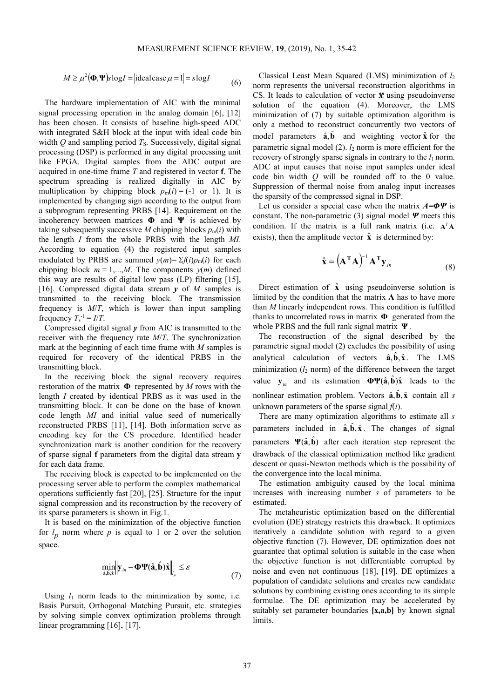$$
M \ge \mu^{2}(\mathbf{\Phi}, \mathbf{\Psi}) \text{s} \log I = |\text{idealcase } \mu = 1| = s \log I \tag{6}
$$

The hardware implementation of AIC with the minimal signal processing operation in the analog domain [6], [12] has been chosen. It consists of baseline high-speed ADC with integrated S&H block at the input with ideal code bin width  $O$  and sampling period  $T<sub>S</sub>$ . Successively, digital signal processing (DSP) is performed in any digital processing unit like FPGA. Digital samples from the ADC output are acquired in one-time frame *T* and registered in vector **f**. The spectrum spreading is realized digitally in AIC by multiplication by chipping block  $p_m(i) = (-1 \text{ or } 1)$ . It is implemented by changing sign according to the output from a subprogram representing PRBS [14]. Requirement on the incoherency between matrices **Φ** and **Ψ** is achieved by taking subsequently successive *M* chipping blocks  $p_m(i)$  with the length *I* from the whole PRBS with the length *MI*. According to equation (4) the registered input samples modulated by PRBS are summed  $v(m) = \sum f(i)p_m(i)$  for each chipping block  $m = 1,...,M$ . The components  $v(m)$  defined this way are results of digital low pass (LP) filtering [15], [16]. Compressed digital data stream *y* of *M* samples is transmitted to the receiving block. The transmission frequency is *M*/*T*, which is lower than input sampling frequency  $T_s^{-1} = I/T$ .

Compressed digital signal  $\nu$  from AIC is transmitted to the receiver with the frequency rate *M*/*T*. The synchronization mark at the beginning of each time frame with *M* samples is required for recovery of the identical PRBS in the transmitting block.

In the receiving block the signal recovery requires restoration of the matrix **Φ** represented by *M* rows with the length *I* created by identical PRBS as it was used in the transmitting block. It can be done on the base of known code length *MI* and initial value seed of numerically reconstructed PRBS [11], [14]. Both information serve as encoding key for the CS procedure. Identified header synchronization mark is another condition for the recovery of sparse signal **f** parameters from the digital data stream **y** for each data frame.

The receiving block is expected to be implemented on the processing server able to perform the complex mathematical operations sufficiently fast [20], [25]. Structure for the input signal compression and its reconstruction by the recovery of its sparse parameters is shown in Fig.1.

It is based on the minimization of the objective function for  $l_p$  norm where  $p$  is equal to 1 or 2 over the solution space.

$$
\min_{\hat{\mathbf{a}}, \hat{\mathbf{b}}, \hat{\mathbf{x}}} \left\| \mathbf{y}_{in} - \mathbf{\Phi} \Psi(\hat{\mathbf{a}}, \hat{\mathbf{b}}) \hat{\mathbf{x}} \right\|_{l_p} \leq \varepsilon \tag{7}
$$

Using  $l_1$  norm leads to the minimization by some, i.e. Basis Pursuit, Orthogonal Matching Pursuit, etc. strategies by solving simple convex optimization problems through linear programming [16], [17].

Classical Least Mean Squared (LMS) minimization of *l*<sup>2</sup> norm represents the universal reconstruction algorithms in CS. It leads to calculation of vector  $\hat{x}$  using pseudoinverse solution of the equation (4). Moreover, the LMS minimization of (7) by suitable optimization algorithm is only a method to reconstruct concurrently two vectors of model parameters  $\hat{a}$ ,  $\hat{b}$  and weighting vector  $\hat{x}$  for the parametric signal model (2). *l*2 norm is more efficient for the recovery of strongly sparse signals in contrary to the  $l_1$  norm. ADC at input causes that noise input samples under ideal code bin width *Q* will be rounded off to the 0 value. Suppression of thermal noise from analog input increases the sparsity of the compressed signal in DSP.

Let us consider a special case when the matrix *A=ΦΨ* is constant. The non-parametric (3) signal model *Ψ* meets this condition. If the matrix is a full rank matrix (i.e.  $A^T A$ exists), then the amplitude vector  $\hat{\mathbf{x}}$  is determined by:

$$
\hat{\mathbf{x}} = (\mathbf{A}^{\mathrm{T}} \mathbf{A})^{-1} \mathbf{A}^{\mathrm{T}} \mathbf{y}_{in}
$$
 (8)

Direct estimation of  $\hat{x}$  using pseudoinverse solution is limited by the condition that the matrix **A** has to have more than *M* linearly independent rows. This condition is fulfilled thanks to uncorrelated rows in matrix **Φ** generated from the whole PRBS and the full rank signal matrix **Ψ** .

The reconstruction of the signal described by the parametric signal model (2) excludes the possibility of using analytical calculation of vectors  $\hat{a}, \hat{b}, \hat{x}$ . The LMS minimization  $(l_2 \text{ norm})$  of the difference between the target value  $y_{in}$  and its estimation  $\Phi\Psi(\hat{a}, \hat{b})\hat{x}$  leads to the nonlinear estimation problem. Vectors  $\hat{\bf a}$ ,  $\hat{\bf b}$ ,  $\hat{\bf x}$  contain all *s* unknown parameters of the sparse signal  $f(i)$ .

There are many optimization algorithms to estimate all *s* parameters included in  $\hat{\bf{a}}$ ,  $\hat{\bf{b}}$ ,  $\hat{\bf{x}}$ . The changes of signal parameters  $\Psi(\hat{a}, \hat{b})$  after each iteration step represent the drawback of the classical optimization method like gradient descent or quasi-Newton methods which is the possibility of the convergence into the local minima.

The estimation ambiguity caused by the local minima increases with increasing number *s* of parameters to be estimated.

The metaheuristic optimization based on the differential evolution (DE) strategy restricts this drawback. It optimizes iteratively a candidate solution with regard to a given objective function (7). However, DE optimization does not guarantee that optimal solution is suitable in the case when the objective function is not differentiable corrupted by noise and even not continuous [18], [19]. DE optimizes a population of candidate solutions and creates new candidate solutions by combining existing ones according to its simple formulae. The DE optimization may be accelerated by suitably set parameter boundaries **[x,a,b]** by known signal limits.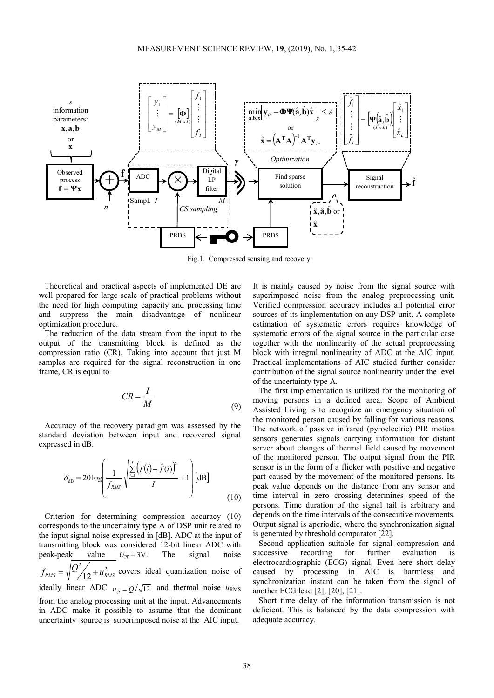

Fig.1. Compressed sensing and recovery.

Theoretical and practical aspects of implemented DE are well prepared for large scale of practical problems without the need for high computing capacity and processing time and suppress the main disadvantage of nonlinear optimization procedure.

The reduction of the data stream from the input to the output of the transmitting block is defined as the compression ratio (CR). Taking into account that just M samples are required for the signal reconstruction in one frame, CR is equal to

$$
CR = \frac{I}{M} \tag{9}
$$

Accuracy of the recovery paradigm was assessed by the standard deviation between input and recovered signal expressed in dB.

$$
\delta_{\text{dB}} = 20 \log \left( \frac{1}{f_{\text{RMS}}} \sqrt{\frac{\sum\limits_{i=1}^{I} (f(i) - \hat{f}(i))^2}{I}} + 1 \right) [\text{dB}]
$$
\n(10)

Criterion for determining compression accuracy (10) corresponds to the uncertainty type A of DSP unit related to the input signal noise expressed in [dB]. ADC at the input of transmitting block was considered 12-bit linear ADC with peak-peak value  $U_{\text{po}} = 3V$ . The signal noise peak-peak value  $U_{pp} = 3V$ . The signal  $f_{RMS} = \sqrt{\frac{Q^2}{12} + u_{RMS}^2}$  covers ideal quantization noise of ideally linear ADC  $u_{\rho} = Q/\sqrt{12}$  and thermal noise  $u_{RMS}$ from the analog processing unit at the input. Advancements in ADC make it possible to assume that the dominant uncertainty source is superimposed noise at the AIC input.

It is mainly caused by noise from the signal source with superimposed noise from the analog preprocessing unit. Verified compression accuracy includes all potential error sources of its implementation on any DSP unit. A complete estimation of systematic errors requires knowledge of systematic errors of the signal source in the particular case together with the nonlinearity of the actual preprocessing block with integral nonlinearity of ADC at the AIC input. Practical implementations of AIC studied further consider contribution of the signal source nonlinearity under the level of the uncertainty type A.

The first implementation is utilized for the monitoring of moving persons in a defined area. Scope of Ambient Assisted Living is to recognize an emergency situation of the monitored person caused by falling for various reasons. The network of passive infrared (pyroelectric) PIR motion sensors generates signals carrying information for distant server about changes of thermal field caused by movement of the monitored person. The output signal from the PIR sensor is in the form of a flicker with positive and negative part caused by the movement of the monitored persons. Its peak value depends on the distance from any sensor and time interval in zero crossing determines speed of the persons. Time duration of the signal tail is arbitrary and depends on the time intervals of the consecutive movements. Output signal is aperiodic, where the synchronization signal is generated by threshold comparator [22].

Second application suitable for signal compression and successive recording for further evaluation is electrocardiographic (ECG) signal. Even here short delay caused by processing in AIC is harmless and synchronization instant can be taken from the signal of another ECG lead [2], [20], [21].

Short time delay of the information transmission is not deficient. This is balanced by the data compression with adequate accuracy.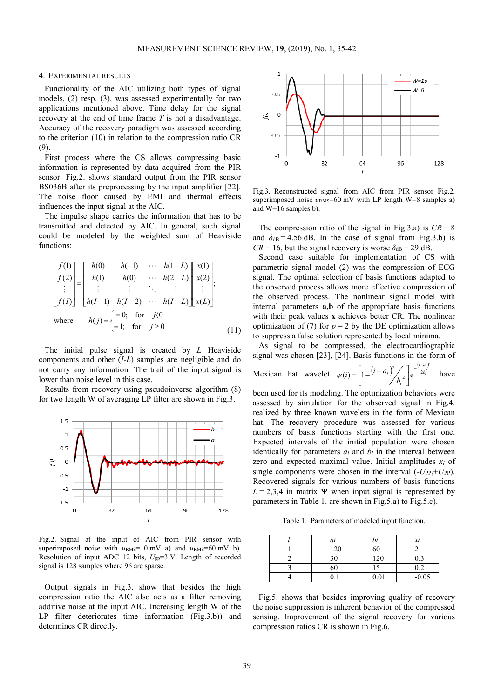# 4. EXPERIMENTAL RESULTS

Functionality of the AIC utilizing both types of signal models, (2) resp. (3), was assessed experimentally for two applications mentioned above. Time delay for the signal recovery at the end of time frame *T* is not a disadvantage. Accuracy of the recovery paradigm was assessed according to the criterion (10) in relation to the compression ratio CR (9).

First process where the CS allows compressing basic information is represented by data acquired from the PIR sensor. Fig.2. shows standard output from the PIR sensor BS036B after its preprocessing by the input amplifier [22]. The noise floor caused by EMI and thermal effects influences the input signal at the AIC.

The impulse shape carries the information that has to be transmitted and detected by AIC. In general, such signal could be modeled by the weighted sum of Heaviside functions:

$$
\begin{bmatrix} f(1) \\ f(2) \\ \vdots \\ f(I) \end{bmatrix} = \begin{bmatrix} h(0) & h(-1) & \cdots & h(1-L) \\ h(1) & h(0) & \cdots & h(2-L) \\ \vdots & \vdots & \ddots & \vdots \\ h(I-1) & h(I-2) & \cdots & h(I-L) \end{bmatrix} \begin{bmatrix} x(1) \\ x(2) \\ \vdots \\ x(L) \end{bmatrix};
$$
  
where  $h(j) = \begin{cases} =0; \text{ for } j(0 \\ =1; \text{ for } j \ge 0 \end{cases}$  (11)

The initial pulse signal is created by *L* Heaviside components and other (*I*-*L*) samples are negligible and do not carry any information. The trail of the input signal is lower than noise level in this case.

Results from recovery using pseudoinverse algorithm (8) for two length W of averaging LP filter are shown in Fig.3.



Fig.2. Signal at the input of AIC from PIR sensor with superimposed noise with  $u_{RMS}$ =10 mV a) and  $u_{RMS}$ =60 mV b). Resolution of input ADC 12 bits,  $U_{pp}=3$  V. Length of recorded signal is 128 samples where 96 are sparse.

Output signals in Fig.3. show that besides the high compression ratio the AIC also acts as a filter removing additive noise at the input AIC. Increasing length W of the LP filter deteriorates time information (Fig.3.b)) and determines CR directly.



Fig.3. Reconstructed signal from AIC from PIR sensor Fig.2. superimposed noise  $u_{RMS}$ =60 mV with LP length W=8 samples a) and W=16 samples b).

The compression ratio of the signal in Fig.3.a) is  $CR = 8$ and  $\delta_{dB} = 4.56$  dB. In the case of signal from Fig.3.b) is  $CR = 16$ , but the signal recovery is worse  $\delta_{dB} = 29$  dB.

Second case suitable for implementation of CS with parametric signal model (2) was the compression of ECG signal. The optimal selection of basis functions adapted to the observed process allows more effective compression of the observed process. The nonlinear signal model with internal parameters **a,b** of the appropriate basis functions with their peak values **x** achieves better CR. The nonlinear optimization of (7) for  $p = 2$  by the DE optimization allows to suppress a false solution represented by local minima.

As signal to be compressed, the electrocardiographic signal was chosen [23], [24]. Basis functions in the form of

Mexican hat wavelet  $\psi(i) = \left[1 - (i - a_i)^2 / \int_{1}^{i} e^{-2b_i^2} dx_i \right]$  $\frac{1}{2}$  | e  $\frac{2}{3}$  $\mathcal{L}(i) = \left(1 - \left(i - a_i\right)^2\right)$   $\left(e^{\frac{\left(i - a_i\right)}{2b_i}}\right)$  $\frac{a}{b}$ *i a l l b*  $(i) = \frac{1}{1 - i}$  $-\frac{(i-1)(i)}{i}$  $\overline{a}$ i,  $\overline{\mathsf{L}}$  $\psi(i) = \left| 1 - (i - a_i)^2 / \right| \left| e^{\frac{(i - a_i)^2}{2b_i^2}} \right|$  have

been used for its modeling. The optimization behaviors were assessed by simulation for the observed signal in Fig.4. realized by three known wavelets in the form of Mexican hat. The recovery procedure was assessed for various numbers of basis functions starting with the first one. Expected intervals of the initial population were chosen identically for parameters  $a_l$  and  $b_l$  in the interval between zero and expected maximal value. Initial amplitudes *xl* of single components were chosen in the interval  $(-U_{PP}, +U_{PP})$ . Recovered signals for various numbers of basis functions  $L = 2,3,4$  in matrix  $\Psi$  when input signal is represented by parameters in Table 1. are shown in Fig.5.a) to Fig.5.c).

Table 1. Parameters of modeled input function.

| $a_l$ |      | $\chi$  |
|-------|------|---------|
| 120   | 60   |         |
| 30    | 120  | 0.3     |
| 60    | 15   | 0.2     |
|       | 0.01 | $-0.05$ |

Fig.5. shows that besides improving quality of recovery the noise suppression is inherent behavior of the compressed sensing. Improvement of the signal recovery for various compression ratios CR is shown in Fig.6.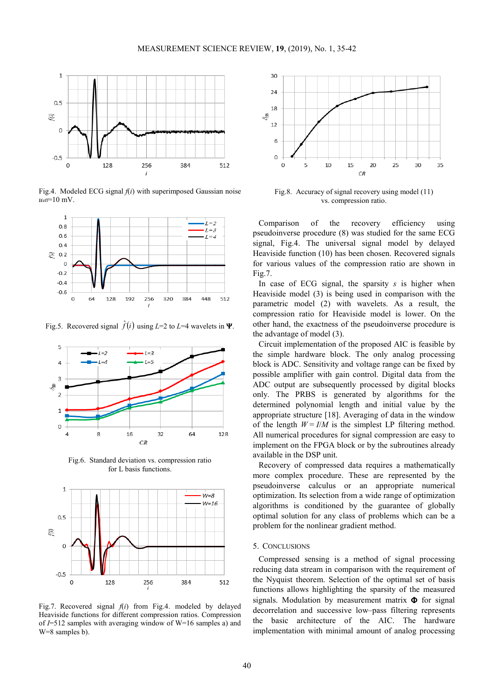

Fig.4. Modeled ECG signal *f*(*i*) with superimposed Gaussian noise  $u_{\text{eff}}$ =10 mV.



Fig.5. Recovered signal  $\hat{f}(i)$  using  $L=2$  to  $L=4$  wavelets in  $\Psi$ .



Fig.6. Standard deviation vs. compression ratio for L basis functions.



Fig.7. Recovered signal  $f(i)$  from Fig.4. modeled by delayed Heaviside functions for different compression ratios. Compression of *I*=512 samples with averaging window of W=16 samples a) and W=8 samples b).



Fig.8. Accuracy of signal recovery using model (11) vs. compression ratio.

Comparison of the recovery efficiency using pseudoinverse procedure (8) was studied for the same ECG signal, Fig.4. The universal signal model by delayed Heaviside function (10) has been chosen. Recovered signals for various values of the compression ratio are shown in Fig.7.

In case of ECG signal, the sparsity *s* is higher when Heaviside model (3) is being used in comparison with the parametric model (2) with wavelets. As a result, the compression ratio for Heaviside model is lower. On the other hand, the exactness of the pseudoinverse procedure is the advantage of model (3).

Circuit implementation of the proposed AIC is feasible by the simple hardware block. The only analog processing block is ADC. Sensitivity and voltage range can be fixed by possible amplifier with gain control. Digital data from the ADC output are subsequently processed by digital blocks only. The PRBS is generated by algorithms for the determined polynomial length and initial value by the appropriate structure [18]. Averaging of data in the window of the length  $W = I/M$  is the simplest LP filtering method. All numerical procedures for signal compression are easy to implement on the FPGA block or by the subroutines already available in the DSP unit.

Recovery of compressed data requires a mathematically more complex procedure. These are represented by the pseudoinverse calculus or an appropriate numerical optimization. Its selection from a wide range of optimization algorithms is conditioned by the guarantee of globally optimal solution for any class of problems which can be a problem for the nonlinear gradient method.

#### 5. CONCLUSIONS

Compressed sensing is a method of signal processing reducing data stream in comparison with the requirement of the Nyquist theorem. Selection of the optimal set of basis functions allows highlighting the sparsity of the measured signals. Modulation by measurement matrix  $\Phi$  for signal decorrelation and successive low–pass filtering represents the basic architecture of the AIC. The hardware implementation with minimal amount of analog processing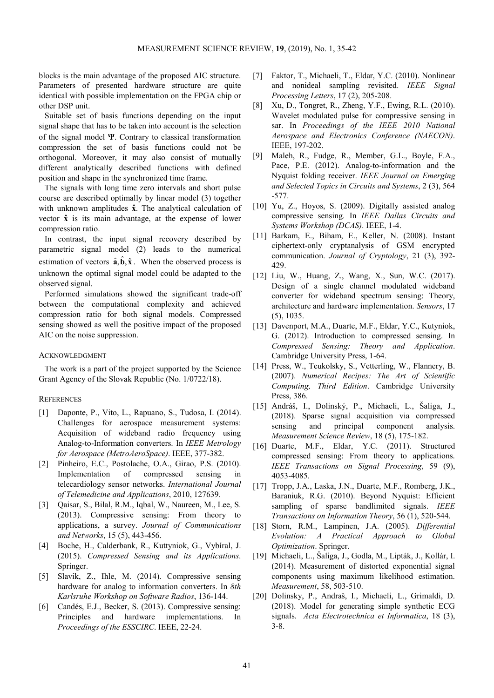blocks is the main advantage of the proposed AIC structure. Parameters of presented hardware structure are quite identical with possible implementation on the FPGA chip or other DSP unit.

Suitable set of basis functions depending on the input signal shape that has to be taken into account is the selection of the signal model Ψ. Contrary to classical transformation compression the set of basis functions could not be orthogonal. Moreover, it may also consist of mutually different analytically described functions with defined position and shape in the synchronized time frame.

The signals with long time zero intervals and short pulse course are described optimally by linear model (3) together with unknown amplitudes **x̂**. The analytical calculation of vector **x̂** is its main advantage, at the expense of lower compression ratio.

In contrast, the input signal recovery described by parametric signal model (2) leads to the numerical estimation of vectors  $\hat{\mathbf{a}}, \hat{\mathbf{b}}, \hat{\mathbf{x}}$ . When the observed process is unknown the optimal signal model could be adapted to the observed signal.

Performed simulations showed the significant trade-off between the computational complexity and achieved compression ratio for both signal models. Compressed sensing showed as well the positive impact of the proposed AIC on the noise suppression.

#### ACKNOWLEDGMENT

The work is a part of the project supported by the Science Grant Agency of the Slovak Republic (No. 1/0722/18).

# **REFERENCES**

- [1] Daponte, P., Vito, L., Rapuano, S., Tudosa, I. (2014). Challenges for aerospace measurement systems: Acquisition of wideband radio frequency using Analog-to-Information converters. In *IEEE Metrology for Aerospace (MetroAeroSpace)*. IEEE, 377-382.
- [2] Pinheiro, E.C., Postolache, O.A., Girao, P.S. (2010). Implementation of compressed sensing in telecardiology sensor networks. *International Journal of Telemedicine and Applications*, 2010, 127639.
- [3] Qaisar, S., Bilal, R.M., Iqbal, W., Naureen, M., Lee, S. (2013). Compressive sensing: From theory to applications, a survey. *Journal of Communications and Networks*, 15 (5), 443-456.
- [4] Boche, H., Calderbank, R., Kuttyniok, G., Vybíral, J. (2015). *Compressed Sensing and its Applications*. Springer.
- [5] Slavik, Z., Ihle, M. (2014). Compressive sensing hardware for analog to information converters. In *8th Karlsruhe Workshop on Software Radios*, 136-144.
- [6] Candés, E.J., Becker, S. (2013). Compressive sensing: Principles and hardware implementations. In *Proceedings of the ESSCIRC*. IEEE, 22-24.
- [7] Faktor, T., Michaeli, T., Eldar, Y.C. (2010). Nonlinear and nonideal sampling revisited. *IEEE Signal Processing Letters*, 17 (2), 205-208.
- [8] Xu, D., Tongret, R., Zheng, Y.F., Ewing, R.L. (2010). Wavelet modulated pulse for compressive sensing in sar. In *Proceedings of the IEEE 2010 National Aerospace and Electronics Conference (NAECON)*. IEEE, 197-202.
- [9] Maleh, R., Fudge, R., Member, G.L., Boyle, F.A., Pace, P.E. (2012). Analog-to-information and the Nyquist folding receiver. *IEEE Journal on Emerging and Selected Topics in Circuits and Systems*, 2 (3), 564 -577.
- [10] Yu, Z., Hoyos, S. (2009). Digitally assisted analog compressive sensing. In *IEEE Dallas Circuits and Systems Workshop (DCAS)*. IEEE, 1-4.
- [11] Barkam, E., Biham, E., Keller, N. (2008). Instant ciphertext-only cryptanalysis of GSM encrypted communication. *Journal of Cryptology*, 21 (3), 392- 429.
- [12] Liu, W., Huang, Z., Wang, X., Sun, W.C. (2017). Design of a single channel modulated wideband converter for wideband spectrum sensing: Theory, architecture and hardware implementation. *Sensors*, 17 (5), 1035.
- [13] Davenport, M.A., Duarte, M.F., Eldar, Y.C., Kutyniok, G. (2012). Introduction to compressed sensing. In *Compressed Sensing: Theory and Application*. Cambridge University Press, 1-64.
- [14] Press, W., Teukolsky, S., Vetterling, W., Flannery, B. (2007). *Numerical Recipes: The Art of Scientific Computing, Third Edition*. Cambridge University Press, 386.
- [15] Andráš, I., Dolinský, P., Michaeli, L., Šaliga, J., (2018). Sparse signal acquisition via compressed sensing and principal component analysis. *Measurement Science Review*, 18 (5), 175-182.
- [16] Duarte, M.F., Eldar, Y.C. (2011). Structured compressed sensing: From theory to applications. *IEEE Transactions on Signal Processing*, 59 (9), 4053-4085.
- [17] Tropp, J.A., Laska, J.N., Duarte, M.F., Romberg, J.K., Baraniuk, R.G. (2010). Beyond Nyquist: Efficient sampling of sparse bandlimited signals. *IEEE Transactions on Information Theory*, 56 (1), 520-544.
- [18] Storn, R.M., Lampinen, J.A. (2005). *Differential Evolution: A Practical Approach to Global Optimization*. Springer.
- [19] Michaeli, L., Šaliga, J., Godla, M., Lipták, J., Kollár, I. (2014). Measurement of distorted exponential signal components using maximum likelihood estimation. *Measurement*, 58, 503-510.
- [20] Dolinsky, P., Andraš, I., Michaeli, L., Grimaldi, D. (2018). Model for generating simple synthetic ECG signals. *Acta Electrotechnica et Informatica*, 18 (3), 3-8.